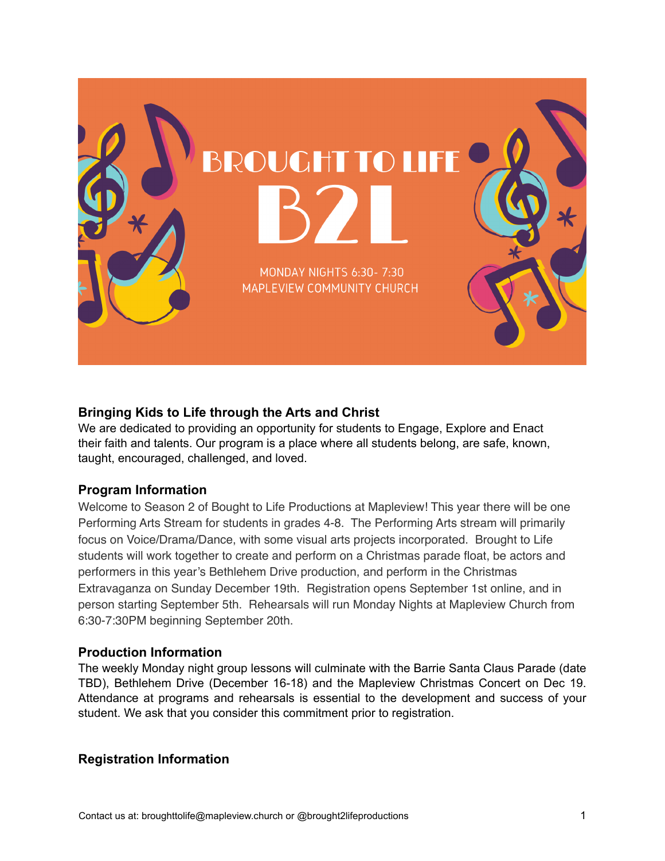

# **Bringing Kids to Life through the Arts and Christ**

We are dedicated to providing an opportunity for students to Engage, Explore and Enact their faith and talents. Our program is a place where all students belong, are safe, known, taught, encouraged, challenged, and loved.

# **Program Information**

Welcome to Season 2 of Bought to Life Productions at Mapleview! This year there will be one Performing Arts Stream for students in grades 4-8. The Performing Arts stream will primarily focus on Voice/Drama/Dance, with some visual arts projects incorporated. Brought to Life students will work together to create and perform on a Christmas parade float, be actors and performers in this year's Bethlehem Drive production, and perform in the Christmas Extravaganza on Sunday December 19th. Registration opens September 1st online, and in person starting September 5th. Rehearsals will run Monday Nights at Mapleview Church from 6:30-7:30PM beginning September 20th.

### **Production Information**

The weekly Monday night group lessons will culminate with the Barrie Santa Claus Parade (date TBD), Bethlehem Drive (December 16-18) and the Mapleview Christmas Concert on Dec 19. Attendance at programs and rehearsals is essential to the development and success of your student. We ask that you consider this commitment prior to registration.

# **Registration Information**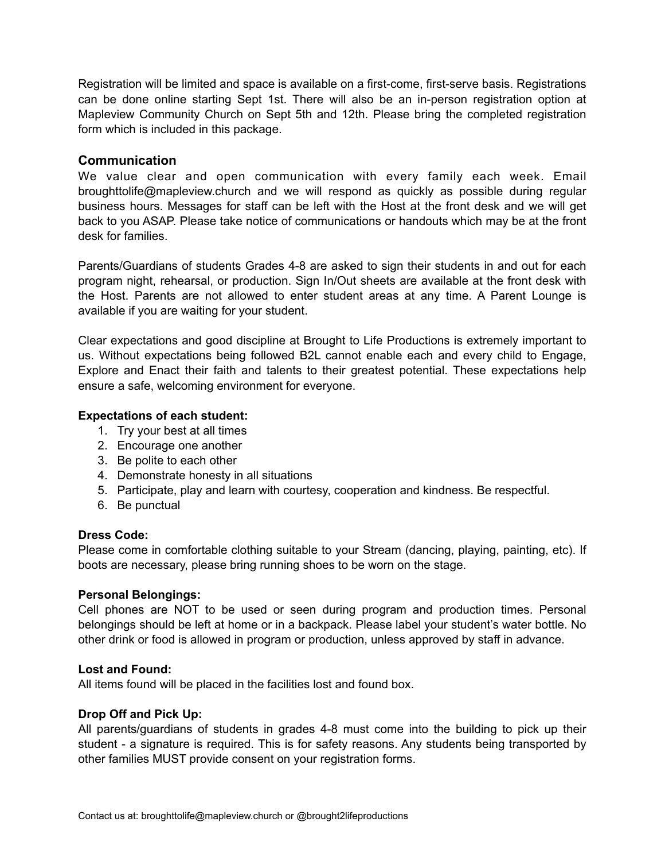Registration will be limited and space is available on a first-come, first-serve basis. Registrations can be done online starting Sept 1st. There will also be an in-person registration option at Mapleview Community Church on Sept 5th and 12th. Please bring the completed registration form which is included in this package.

# **Communication**

We value clear and open communication with every family each week. Email broughttolife@mapleview.church and we will respond as quickly as possible during regular business hours. Messages for staff can be left with the Host at the front desk and we will get back to you ASAP. Please take notice of communications or handouts which may be at the front desk for families.

Parents/Guardians of students Grades 4-8 are asked to sign their students in and out for each program night, rehearsal, or production. Sign In/Out sheets are available at the front desk with the Host. Parents are not allowed to enter student areas at any time. A Parent Lounge is available if you are waiting for your student.

Clear expectations and good discipline at Brought to Life Productions is extremely important to us. Without expectations being followed B2L cannot enable each and every child to Engage, Explore and Enact their faith and talents to their greatest potential. These expectations help ensure a safe, welcoming environment for everyone.

#### **Expectations of each student:**

- 1. Try your best at all times
- 2. Encourage one another
- 3. Be polite to each other
- 4. Demonstrate honesty in all situations
- 5. Participate, play and learn with courtesy, cooperation and kindness. Be respectful.
- 6. Be punctual

#### **Dress Code:**

Please come in comfortable clothing suitable to your Stream (dancing, playing, painting, etc). If boots are necessary, please bring running shoes to be worn on the stage.

#### **Personal Belongings:**

Cell phones are NOT to be used or seen during program and production times. Personal belongings should be left at home or in a backpack. Please label your student's water bottle. No other drink or food is allowed in program or production, unless approved by staff in advance.

#### **Lost and Found:**

All items found will be placed in the facilities lost and found box.

#### **Drop Off and Pick Up:**

All parents/guardians of students in grades 4-8 must come into the building to pick up their student - a signature is required. This is for safety reasons. Any students being transported by other families MUST provide consent on your registration forms.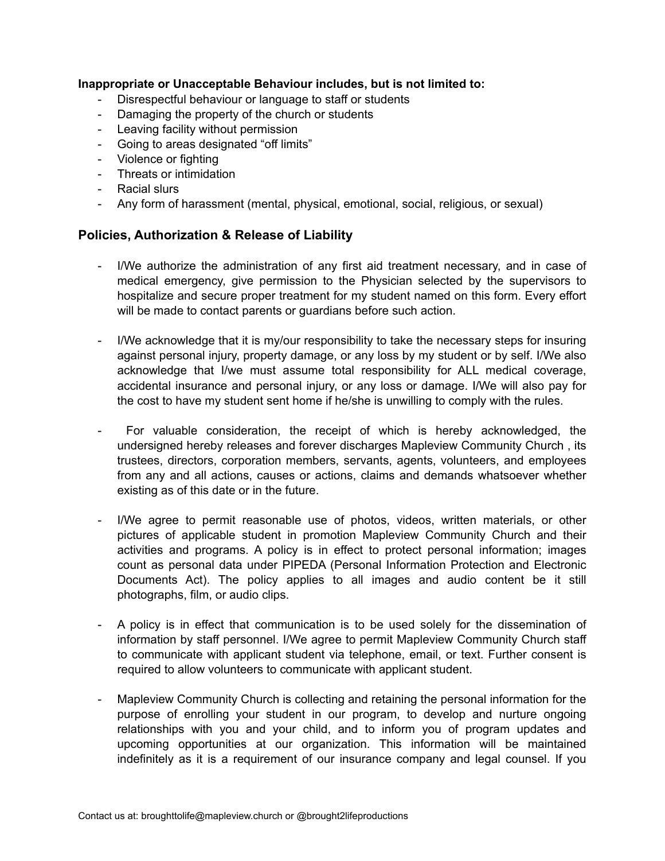### **Inappropriate or Unacceptable Behaviour includes, but is not limited to:**

- Disrespectful behaviour or language to staff or students
- Damaging the property of the church or students
- Leaving facility without permission
- Going to areas designated "off limits"
- Violence or fighting
- Threats or intimidation
- Racial slurs
- Any form of harassment (mental, physical, emotional, social, religious, or sexual)

# **Policies, Authorization & Release of Liability**

- I/We authorize the administration of any first aid treatment necessary, and in case of medical emergency, give permission to the Physician selected by the supervisors to hospitalize and secure proper treatment for my student named on this form. Every effort will be made to contact parents or guardians before such action.
- I/We acknowledge that it is my/our responsibility to take the necessary steps for insuring against personal injury, property damage, or any loss by my student or by self. I/We also acknowledge that I/we must assume total responsibility for ALL medical coverage, accidental insurance and personal injury, or any loss or damage. I/We will also pay for the cost to have my student sent home if he/she is unwilling to comply with the rules.
- For valuable consideration, the receipt of which is hereby acknowledged, the undersigned hereby releases and forever discharges Mapleview Community Church , its trustees, directors, corporation members, servants, agents, volunteers, and employees from any and all actions, causes or actions, claims and demands whatsoever whether existing as of this date or in the future.
- I/We agree to permit reasonable use of photos, videos, written materials, or other pictures of applicable student in promotion Mapleview Community Church and their activities and programs. A policy is in effect to protect personal information; images count as personal data under PIPEDA (Personal Information Protection and Electronic Documents Act). The policy applies to all images and audio content be it still photographs, film, or audio clips.
- A policy is in effect that communication is to be used solely for the dissemination of information by staff personnel. I/We agree to permit Mapleview Community Church staff to communicate with applicant student via telephone, email, or text. Further consent is required to allow volunteers to communicate with applicant student.
- Mapleview Community Church is collecting and retaining the personal information for the purpose of enrolling your student in our program, to develop and nurture ongoing relationships with you and your child, and to inform you of program updates and upcoming opportunities at our organization. This information will be maintained indefinitely as it is a requirement of our insurance company and legal counsel. If you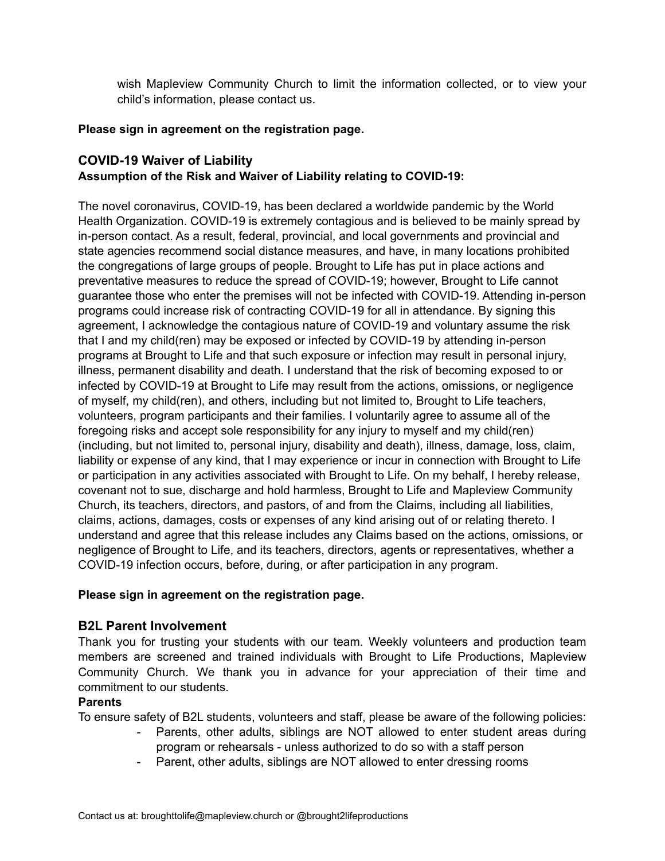wish Mapleview Community Church to limit the information collected, or to view your child's information, please contact us.

# **Please sign in agreement on the registration page.**

# **COVID-19 Waiver of Liability Assumption of the Risk and Waiver of Liability relating to COVID-19:**

The novel coronavirus, COVID-19, has been declared a worldwide pandemic by the World Health Organization. COVID-19 is extremely contagious and is believed to be mainly spread by in-person contact. As a result, federal, provincial, and local governments and provincial and state agencies recommend social distance measures, and have, in many locations prohibited the congregations of large groups of people. Brought to Life has put in place actions and preventative measures to reduce the spread of COVID-19; however, Brought to Life cannot guarantee those who enter the premises will not be infected with COVID-19. Attending in-person programs could increase risk of contracting COVID-19 for all in attendance. By signing this agreement, I acknowledge the contagious nature of COVID-19 and voluntary assume the risk that I and my child(ren) may be exposed or infected by COVID-19 by attending in-person programs at Brought to Life and that such exposure or infection may result in personal injury, illness, permanent disability and death. I understand that the risk of becoming exposed to or infected by COVID-19 at Brought to Life may result from the actions, omissions, or negligence of myself, my child(ren), and others, including but not limited to, Brought to Life teachers, volunteers, program participants and their families. I voluntarily agree to assume all of the foregoing risks and accept sole responsibility for any injury to myself and my child(ren) (including, but not limited to, personal injury, disability and death), illness, damage, loss, claim, liability or expense of any kind, that I may experience or incur in connection with Brought to Life or participation in any activities associated with Brought to Life. On my behalf, I hereby release, covenant not to sue, discharge and hold harmless, Brought to Life and Mapleview Community Church, its teachers, directors, and pastors, of and from the Claims, including all liabilities, claims, actions, damages, costs or expenses of any kind arising out of or relating thereto. I understand and agree that this release includes any Claims based on the actions, omissions, or negligence of Brought to Life, and its teachers, directors, agents or representatives, whether a COVID-19 infection occurs, before, during, or after participation in any program.

### **Please sign in agreement on the registration page.**

# **B2L Parent Involvement**

Thank you for trusting your students with our team. Weekly volunteers and production team members are screened and trained individuals with Brought to Life Productions, Mapleview Community Church. We thank you in advance for your appreciation of their time and commitment to our students.

### **Parents**

To ensure safety of B2L students, volunteers and staff, please be aware of the following policies:

- Parents, other adults, siblings are NOT allowed to enter student areas during program or rehearsals - unless authorized to do so with a staff person
- Parent, other adults, siblings are NOT allowed to enter dressing rooms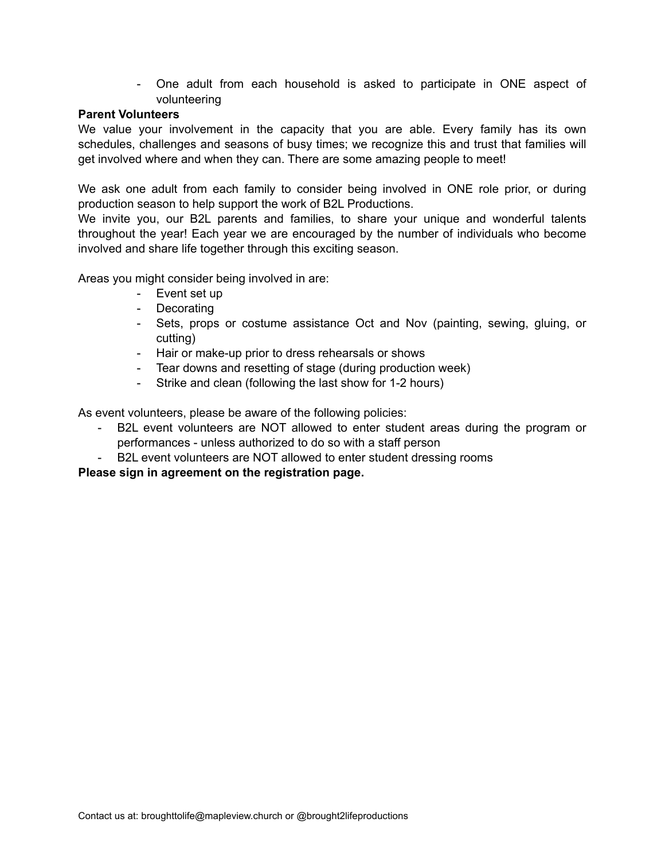- One adult from each household is asked to participate in ONE aspect of volunteering

# **Parent Volunteers**

We value your involvement in the capacity that you are able. Every family has its own schedules, challenges and seasons of busy times; we recognize this and trust that families will get involved where and when they can. There are some amazing people to meet!

We ask one adult from each family to consider being involved in ONE role prior, or during production season to help support the work of B2L Productions.

We invite you, our B2L parents and families, to share your unique and wonderful talents throughout the year! Each year we are encouraged by the number of individuals who become involved and share life together through this exciting season.

Areas you might consider being involved in are:

- Event set up
- Decorating
- Sets, props or costume assistance Oct and Nov (painting, sewing, gluing, or cutting)
- Hair or make-up prior to dress rehearsals or shows
- Tear downs and resetting of stage (during production week)
- Strike and clean (following the last show for 1-2 hours)

As event volunteers, please be aware of the following policies:

- B2L event volunteers are NOT allowed to enter student areas during the program or performances - unless authorized to do so with a staff person
- B2L event volunteers are NOT allowed to enter student dressing rooms

**Please sign in agreement on the registration page.**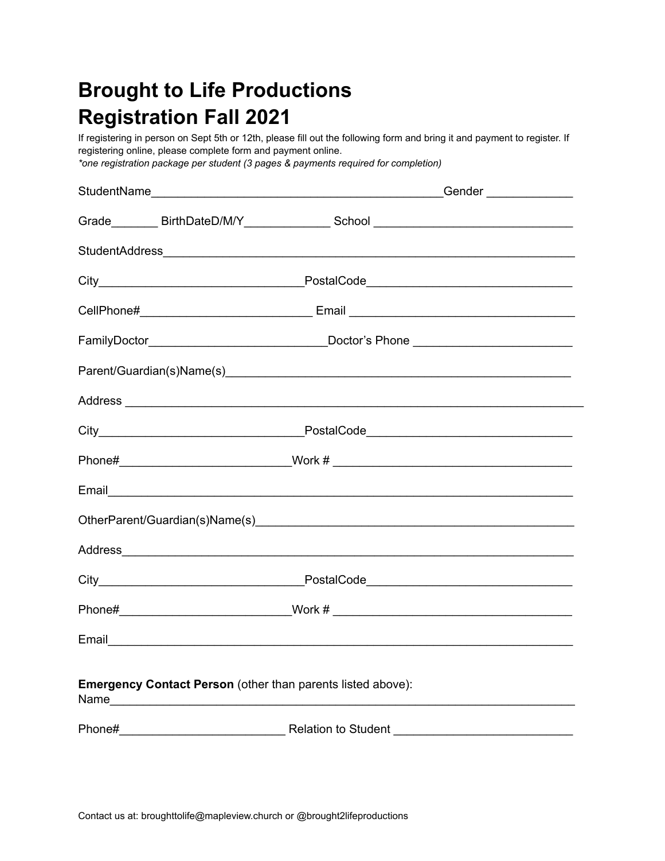# **Brought to Life Productions Registration Fall 2021**

If registering in person on Sept 5th or 12th, please fill out the following form and bring it and payment to register. If registering online, please complete form and payment online.

*\*one registration package per student (3 pages & payments required for completion)*

|                                                                    |  | Grade__________ BirthDateD/M/Y___________________School ________________________  |  |  |  |  |
|--------------------------------------------------------------------|--|-----------------------------------------------------------------------------------|--|--|--|--|
|                                                                    |  |                                                                                   |  |  |  |  |
|                                                                    |  |                                                                                   |  |  |  |  |
|                                                                    |  |                                                                                   |  |  |  |  |
|                                                                    |  |                                                                                   |  |  |  |  |
|                                                                    |  |                                                                                   |  |  |  |  |
|                                                                    |  |                                                                                   |  |  |  |  |
|                                                                    |  |                                                                                   |  |  |  |  |
|                                                                    |  | Phone#__________________________________Work # __________________________________ |  |  |  |  |
|                                                                    |  |                                                                                   |  |  |  |  |
|                                                                    |  |                                                                                   |  |  |  |  |
|                                                                    |  |                                                                                   |  |  |  |  |
|                                                                    |  |                                                                                   |  |  |  |  |
|                                                                    |  | Phone#__________________________________Work # _________________________________  |  |  |  |  |
|                                                                    |  |                                                                                   |  |  |  |  |
| <b>Emergency Contact Person (other than parents listed above):</b> |  |                                                                                   |  |  |  |  |
|                                                                    |  |                                                                                   |  |  |  |  |
|                                                                    |  |                                                                                   |  |  |  |  |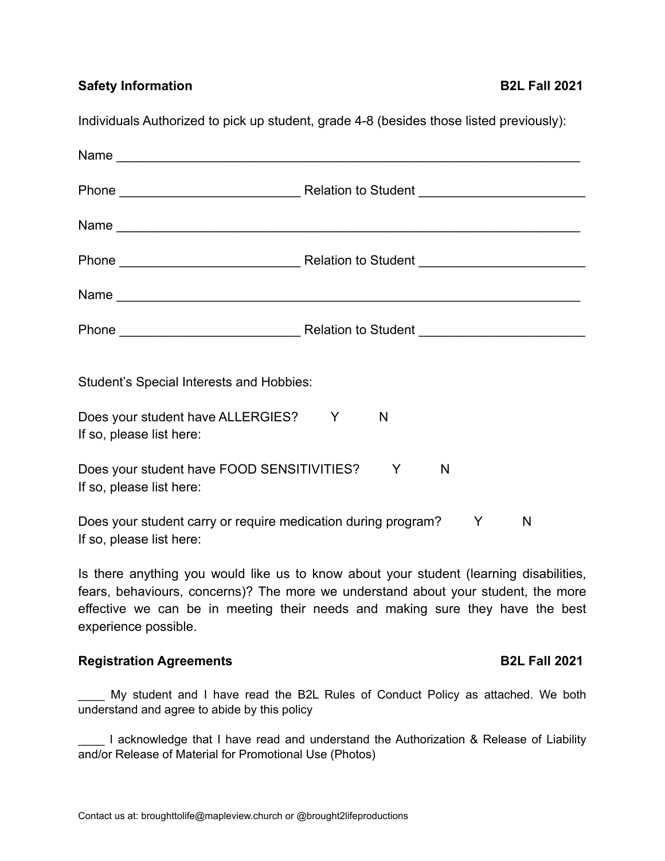**Safety Information B2L Fall 2021** 

Individuals Authorized to pick up student, grade 4-8 (besides those listed previously):

| Name                                                                                                                                                                                                                                                                                 |        |                      |
|--------------------------------------------------------------------------------------------------------------------------------------------------------------------------------------------------------------------------------------------------------------------------------------|--------|----------------------|
|                                                                                                                                                                                                                                                                                      |        |                      |
|                                                                                                                                                                                                                                                                                      |        |                      |
|                                                                                                                                                                                                                                                                                      |        |                      |
| Student's Special Interests and Hobbies:                                                                                                                                                                                                                                             |        |                      |
| Does your student have ALLERGIES? Y<br>If so, please list here:                                                                                                                                                                                                                      | N      |                      |
| Does your student have FOOD SENSITIVITIES?<br>If so, please list here:                                                                                                                                                                                                               | Y<br>N |                      |
| Does your student carry or require medication during program?<br>If so, please list here:                                                                                                                                                                                            | Y      | N                    |
| Is there anything you would like us to know about your student (learning disabilities,<br>fears, behaviours, concerns)? The more we understand about your student, the more<br>effective we can be in meeting their needs and making sure they have the best<br>experience possible. |        |                      |
| <b>Registration Agreements</b>                                                                                                                                                                                                                                                       |        | <b>B2L Fall 2021</b> |
| My student and I have read the B2L Rules of Conduct Policy as attached. We both                                                                                                                                                                                                      |        |                      |

understand and agree to abide by this policy

\_\_\_\_ I acknowledge that I have read and understand the Authorization & Release of Liability and/or Release of Material for Promotional Use (Photos)